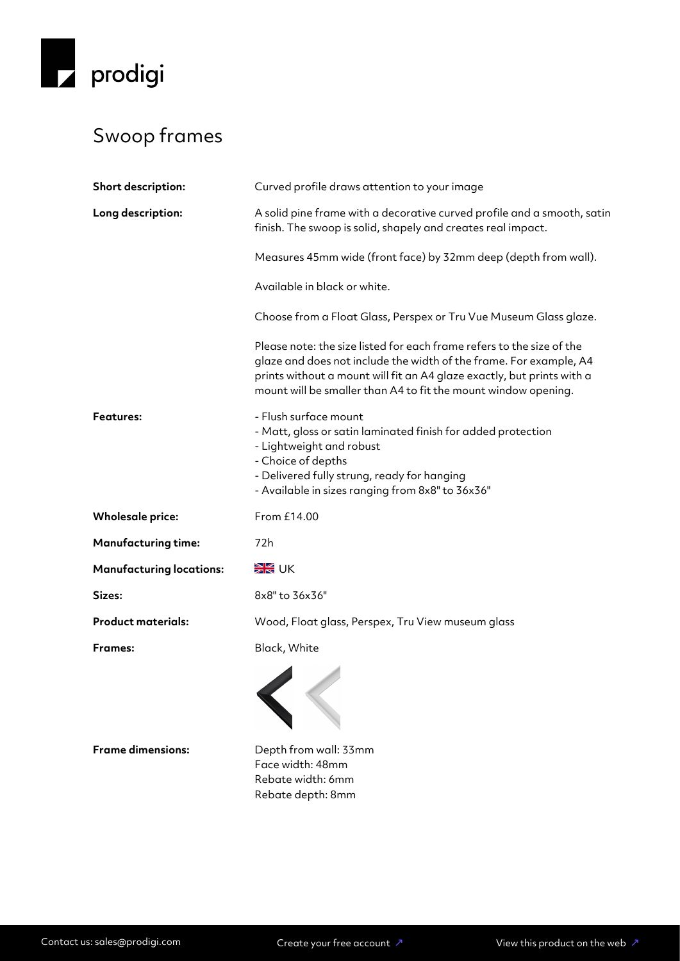

## Swoop frames

| Short description:              | Curved profile draws attention to your image                                                                                                                                                                                                                                            |
|---------------------------------|-----------------------------------------------------------------------------------------------------------------------------------------------------------------------------------------------------------------------------------------------------------------------------------------|
| Long description:               | A solid pine frame with a decorative curved profile and a smooth, satin<br>finish. The swoop is solid, shapely and creates real impact.                                                                                                                                                 |
|                                 | Measures 45mm wide (front face) by 32mm deep (depth from wall).                                                                                                                                                                                                                         |
|                                 | Available in black or white.                                                                                                                                                                                                                                                            |
|                                 | Choose from a Float Glass, Perspex or Tru Vue Museum Glass glaze.                                                                                                                                                                                                                       |
|                                 | Please note: the size listed for each frame refers to the size of the<br>glaze and does not include the width of the frame. For example, A4<br>prints without a mount will fit an A4 glaze exactly, but prints with a<br>mount will be smaller than A4 to fit the mount window opening. |
| <b>Features:</b>                | - Flush surface mount<br>- Matt, gloss or satin laminated finish for added protection<br>- Lightweight and robust<br>- Choice of depths<br>- Delivered fully strung, ready for hanging<br>- Available in sizes ranging from 8x8" to 36x36"                                              |
| <b>Wholesale price:</b>         | From £14.00                                                                                                                                                                                                                                                                             |
| <b>Manufacturing time:</b>      | 72h                                                                                                                                                                                                                                                                                     |
| <b>Manufacturing locations:</b> | <b>SK</b> UK                                                                                                                                                                                                                                                                            |
| Sizes:                          | 8x8" to 36x36"                                                                                                                                                                                                                                                                          |
| <b>Product materials:</b>       | Wood, Float glass, Perspex, Tru View museum glass                                                                                                                                                                                                                                       |
| <b>Frames:</b>                  | Black, White                                                                                                                                                                                                                                                                            |
|                                 |                                                                                                                                                                                                                                                                                         |
| <b>Frame dimensions:</b>        | Depth from wall: 33mm<br>Face width: 48mm<br>Rebate width: 6mm<br>Rebate depth: 8mm                                                                                                                                                                                                     |